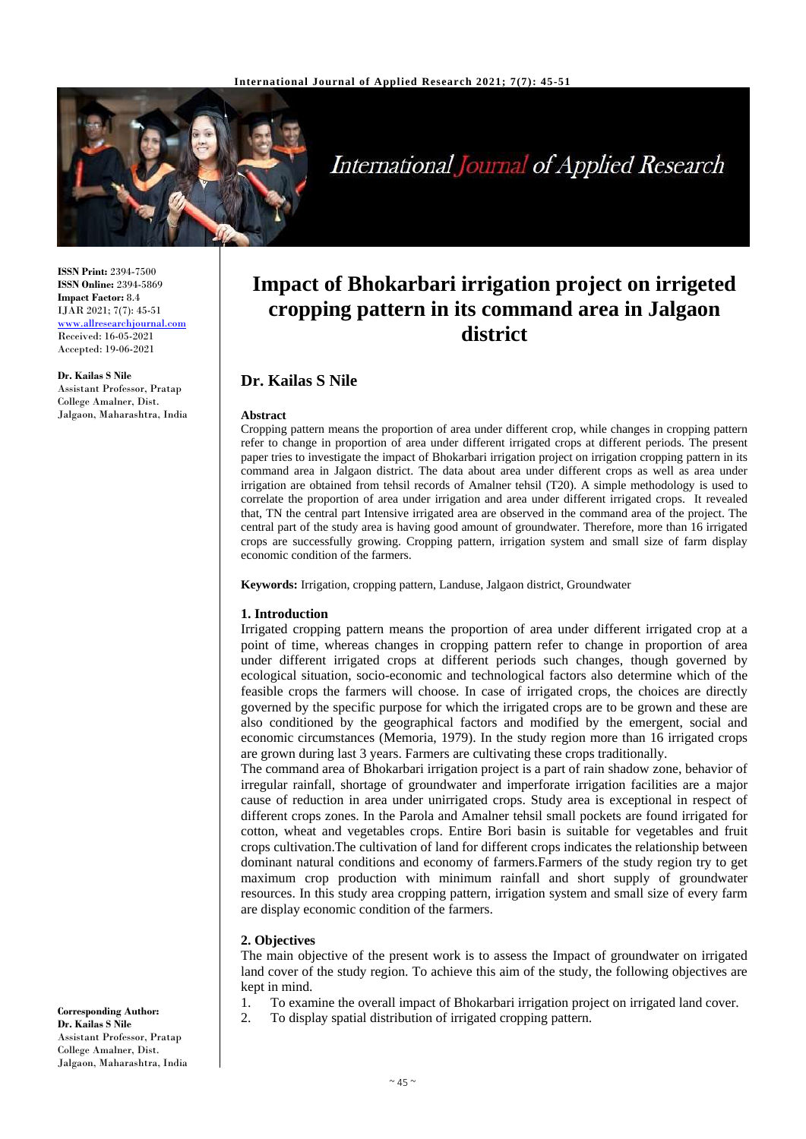

International Journal of Applied Research

**ISSN Print:** 2394-7500 **ISSN Online:** 2394-5869 **Impact Factor:** 8.4 IJAR 2021; 7(7): 45-51 <www.allresearchjournal.com> Received: 16-05-2021 Accepted: 19-06-2021

**Dr. Kailas S Nile** Assistant Professor, Pratap College Amalner, Dist. Jalgaon, Maharashtra, India

# **Impact of Bhokarbari irrigation project on irrigeted cropping pattern in its command area in Jalgaon district**

# **Dr. Kailas S Nile**

#### **Abstract**

Cropping pattern means the proportion of area under different crop, while changes in cropping pattern refer to change in proportion of area under different irrigated crops at different periods. The present paper tries to investigate the impact of Bhokarbari irrigation project on irrigation cropping pattern in its command area in Jalgaon district. The data about area under different crops as well as area under irrigation are obtained from tehsil records of Amalner tehsil (T20). A simple methodology is used to correlate the proportion of area under irrigation and area under different irrigated crops. It revealed that, TN the central part Intensive irrigated area are observed in the command area of the project. The central part of the study area is having good amount of groundwater. Therefore, more than 16 irrigated crops are successfully growing. Cropping pattern, irrigation system and small size of farm display economic condition of the farmers.

**Keywords:** Irrigation, cropping pattern, Landuse, Jalgaon district, Groundwater

# **1. Introduction**

Irrigated cropping pattern means the proportion of area under different irrigated crop at a point of time, whereas changes in cropping pattern refer to change in proportion of area under different irrigated crops at different periods such changes, though governed by ecological situation, socio-economic and technological factors also determine which of the feasible crops the farmers will choose. In case of irrigated crops, the choices are directly governed by the specific purpose for which the irrigated crops are to be grown and these are also conditioned by the geographical factors and modified by the emergent, social and economic circumstances (Memoria, 1979). In the study region more than 16 irrigated crops are grown during last 3 years. Farmers are cultivating these crops traditionally.

The command area of Bhokarbari irrigation project is a part of rain shadow zone, behavior of irregular rainfall, shortage of groundwater and imperforate irrigation facilities are a major cause of reduction in area under unirrigated crops. Study area is exceptional in respect of different crops zones. In the Parola and Amalner tehsil small pockets are found irrigated for cotton, wheat and vegetables crops. Entire Bori basin is suitable for vegetables and fruit crops cultivation.The cultivation of land for different crops indicates the relationship between dominant natural conditions and economy of farmers.Farmers of the study region try to get maximum crop production with minimum rainfall and short supply of groundwater resources. In this study area cropping pattern, irrigation system and small size of every farm are display economic condition of the farmers.

# **2. Objectives**

The main objective of the present work is to assess the Impact of groundwater on irrigated land cover of the study region. To achieve this aim of the study, the following objectives are kept in mind.

- 1. To examine the overall impact of Bhokarbari irrigation project on irrigated land cover.
- 2. To display spatial distribution of irrigated cropping pattern.

**Corresponding Author: Dr. Kailas S Nile** Assistant Professor, Pratap College Amalner, Dist. Jalgaon, Maharashtra, India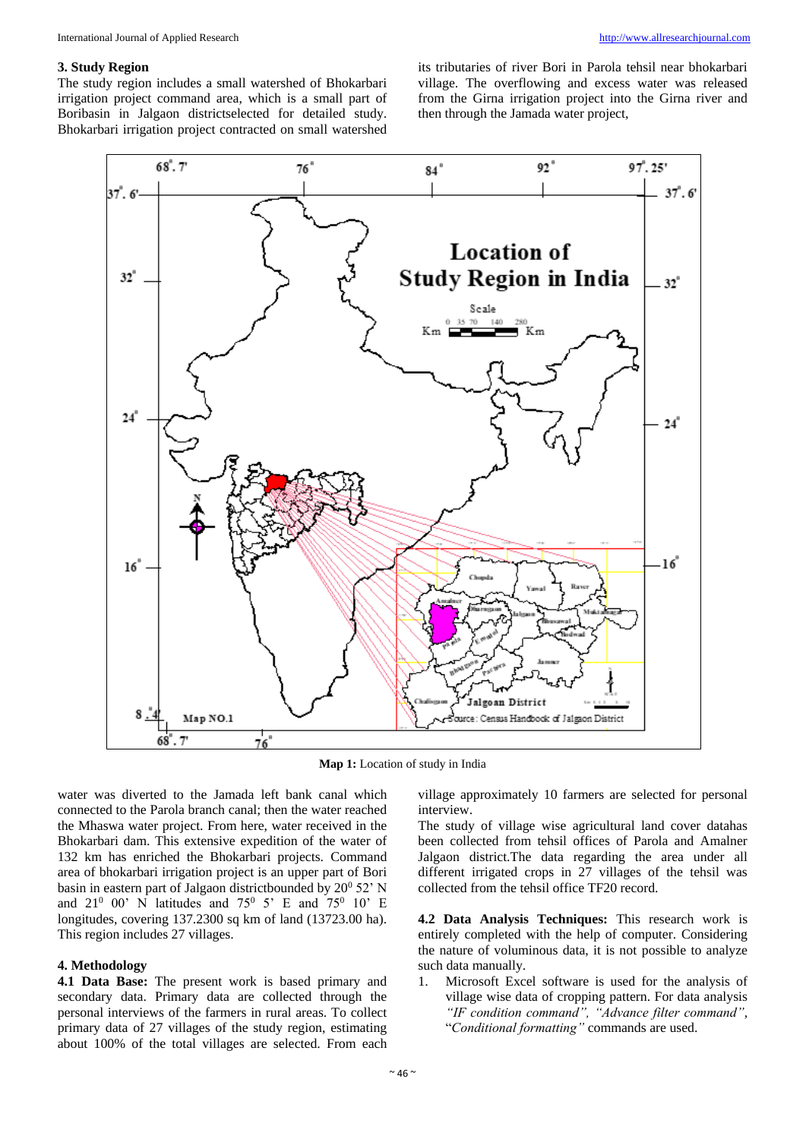#### **3. Study Region**

The study region includes a small watershed of Bhokarbari irrigation project command area, which is a small part of Boribasin in Jalgaon districtselected for detailed study. Bhokarbari irrigation project contracted on small watershed

its tributaries of river Bori in Parola tehsil near bhokarbari village. The overflowing and excess water was released from the Girna irrigation project into the Girna river and then through the Jamada water project,



**Map 1:** Location of study in India

water was diverted to the Jamada left bank canal which connected to the Parola branch canal; then the water reached the Mhaswa water project. From here, water received in the Bhokarbari dam. This extensive expedition of the water of 132 km has enriched the Bhokarbari projects. Command area of bhokarbari irrigation project is an upper part of Bori basin in eastern part of Jalgaon districtbounded by  $20^0$  52' N and  $21^0$  00' N latitudes and 75<sup>0</sup> 5' E and 75<sup>0</sup> 10' E longitudes, covering 137.2300 sq km of land (13723.00 ha). This region includes 27 villages.

# **4. Methodology**

**4.1 Data Base:** The present work is based primary and secondary data. Primary data are collected through the personal interviews of the farmers in rural areas. To collect primary data of 27 villages of the study region, estimating about 100% of the total villages are selected. From each

village approximately 10 farmers are selected for personal interview.

The study of village wise agricultural land cover datahas been collected from tehsil offices of Parola and Amalner Jalgaon district.The data regarding the area under all different irrigated crops in 27 villages of the tehsil was collected from the tehsil office TF20 record.

**4.2 Data Analysis Techniques:** This research work is entirely completed with the help of computer. Considering the nature of voluminous data, it is not possible to analyze such data manually.

1. Microsoft Excel software is used for the analysis of village wise data of cropping pattern. For data analysis *"IF condition command", "Advance filter command"*, "*Conditional formatting"* commands are used.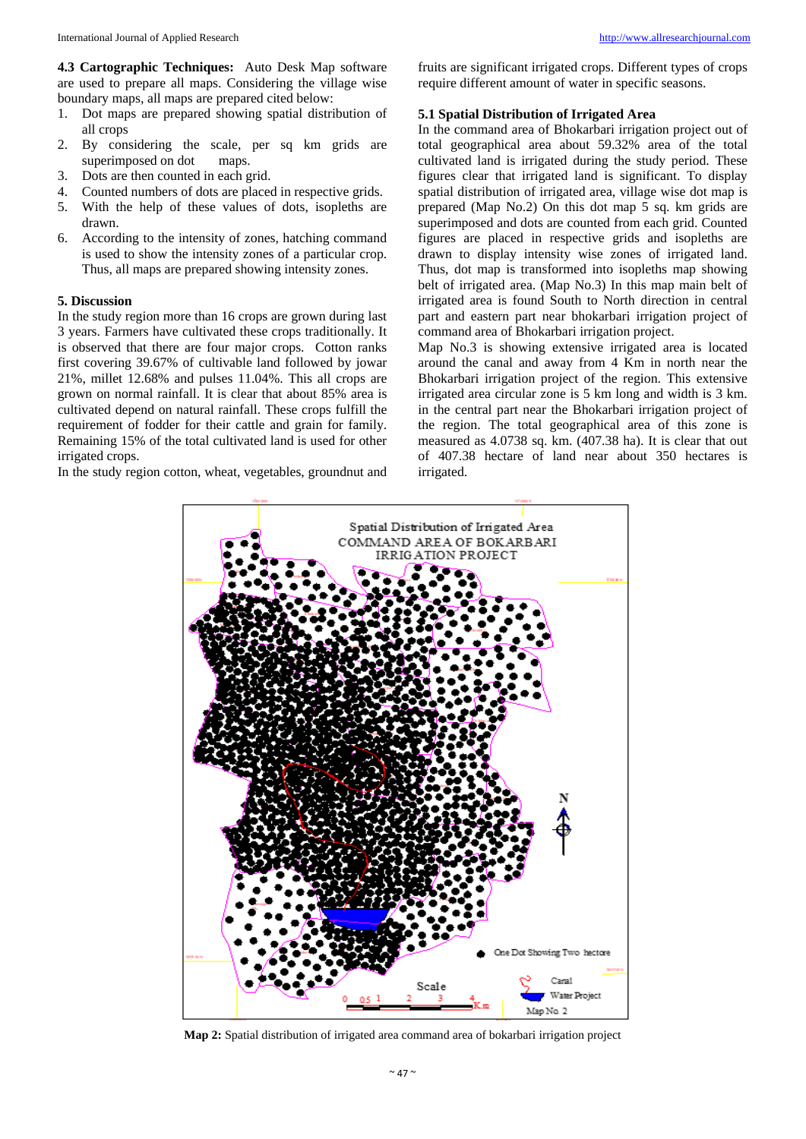**4.3 Cartographic Techniques:** Auto Desk Map software are used to prepare all maps. Considering the village wise boundary maps, all maps are prepared cited below:

- 1. Dot maps are prepared showing spatial distribution of all crops
- 2. By considering the scale, per sq km grids are superimposed on dot maps.
- 3. Dots are then counted in each grid.
- 4. Counted numbers of dots are placed in respective grids.
- 5. With the help of these values of dots, isopleths are drawn.
- 6. According to the intensity of zones, hatching command is used to show the intensity zones of a particular crop. Thus, all maps are prepared showing intensity zones.

# **5. Discussion**

In the study region more than 16 crops are grown during last 3 years. Farmers have cultivated these crops traditionally. It is observed that there are four major crops. Cotton ranks first covering 39.67% of cultivable land followed by jowar 21%, millet 12.68% and pulses 11.04%. This all crops are grown on normal rainfall. It is clear that about 85% area is cultivated depend on natural rainfall. These crops fulfill the requirement of fodder for their cattle and grain for family. Remaining 15% of the total cultivated land is used for other irrigated crops.

In the study region cotton, wheat, vegetables, groundnut and

fruits are significant irrigated crops. Different types of crops require different amount of water in specific seasons.

# **5.1 Spatial Distribution of Irrigated Area**

In the command area of Bhokarbari irrigation project out of total geographical area about 59.32% area of the total cultivated land is irrigated during the study period. These figures clear that irrigated land is significant. To display spatial distribution of irrigated area, village wise dot map is prepared (Map No.2) On this dot map 5 sq. km grids are superimposed and dots are counted from each grid. Counted figures are placed in respective grids and isopleths are drawn to display intensity wise zones of irrigated land. Thus, dot map is transformed into isopleths map showing belt of irrigated area. (Map No.3) In this map main belt of irrigated area is found South to North direction in central part and eastern part near bhokarbari irrigation project of command area of Bhokarbari irrigation project.

Map No.3 is showing extensive irrigated area is located around the canal and away from 4 Km in north near the Bhokarbari irrigation project of the region. This extensive irrigated area circular zone is 5 km long and width is 3 km. in the central part near the Bhokarbari irrigation project of the region. The total geographical area of this zone is measured as 4.0738 sq. km. (407.38 ha). It is clear that out of 407.38 hectare of land near about 350 hectares is irrigated.



**Map 2:** Spatial distribution of irrigated area command area of bokarbari irrigation project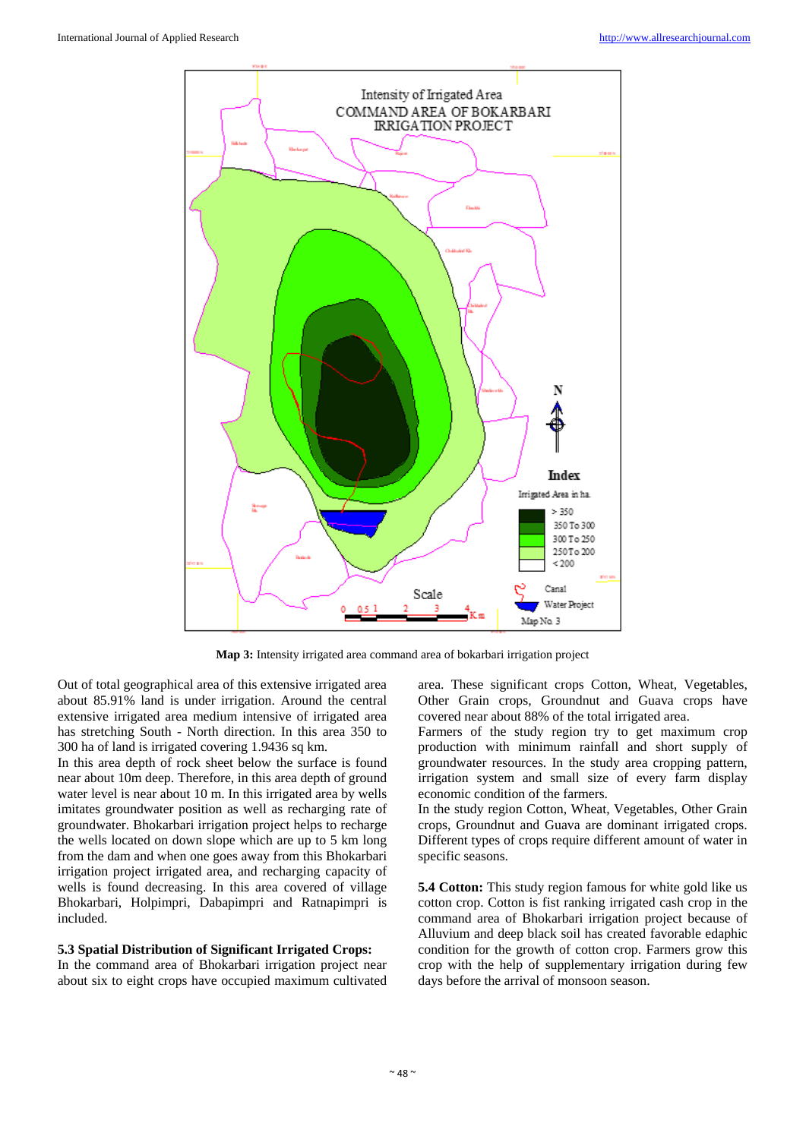

**Map 3:** Intensity irrigated area command area of bokarbari irrigation project

Out of total geographical area of this extensive irrigated area about 85.91% land is under irrigation. Around the central extensive irrigated area medium intensive of irrigated area has stretching South - North direction. In this area 350 to 300 ha of land is irrigated covering 1.9436 sq km.

In this area depth of rock sheet below the surface is found near about 10m deep. Therefore, in this area depth of ground water level is near about 10 m. In this irrigated area by wells imitates groundwater position as well as recharging rate of groundwater. Bhokarbari irrigation project helps to recharge the wells located on down slope which are up to 5 km long from the dam and when one goes away from this Bhokarbari irrigation project irrigated area, and recharging capacity of wells is found decreasing. In this area covered of village Bhokarbari, Holpimpri, Dabapimpri and Ratnapimpri is included.

# **5.3 Spatial Distribution of Significant Irrigated Crops:**

In the command area of Bhokarbari irrigation project near about six to eight crops have occupied maximum cultivated area. These significant crops Cotton, Wheat, Vegetables, Other Grain crops, Groundnut and Guava crops have covered near about 88% of the total irrigated area.

Farmers of the study region try to get maximum crop production with minimum rainfall and short supply of groundwater resources. In the study area cropping pattern, irrigation system and small size of every farm display economic condition of the farmers.

In the study region Cotton, Wheat, Vegetables, Other Grain crops, Groundnut and Guava are dominant irrigated crops. Different types of crops require different amount of water in specific seasons.

**5.4 Cotton:** This study region famous for white gold like us cotton crop. Cotton is fist ranking irrigated cash crop in the command area of Bhokarbari irrigation project because of Alluvium and deep black soil has created favorable edaphic condition for the growth of cotton crop. Farmers grow this crop with the help of supplementary irrigation during few days before the arrival of monsoon season.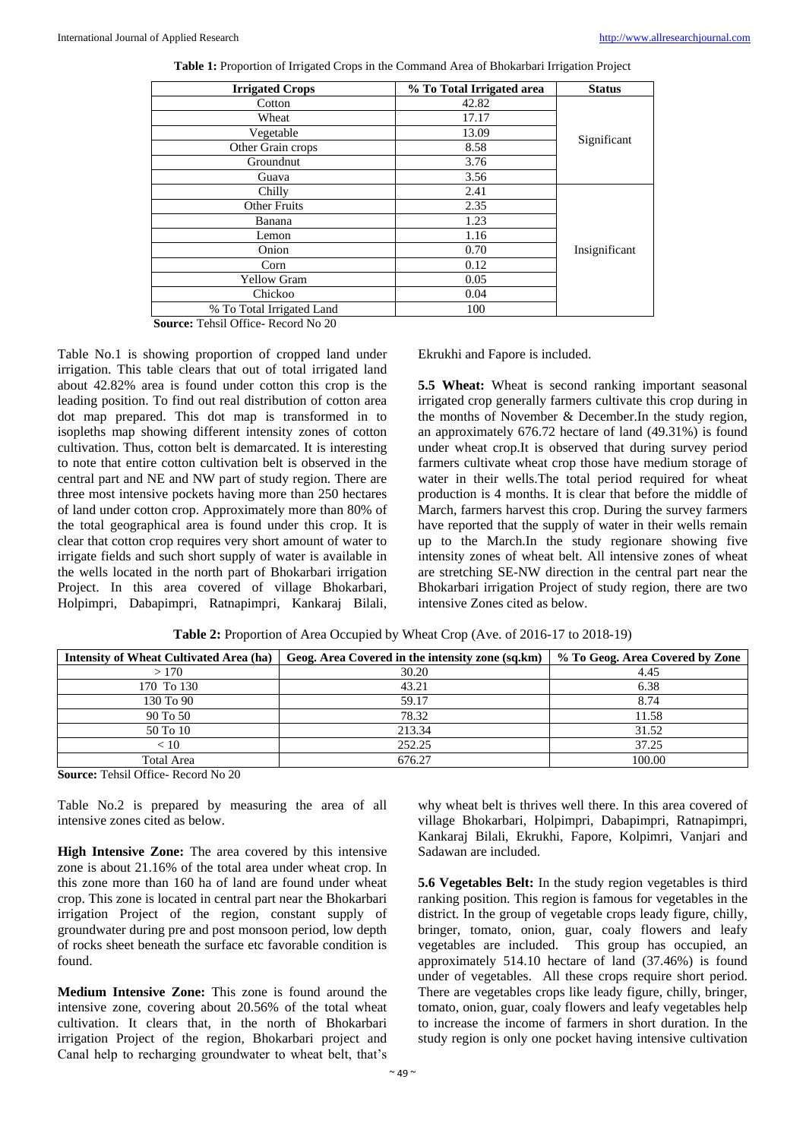| <b>Irrigated Crops</b>    | % To Total Irrigated area | <b>Status</b> |
|---------------------------|---------------------------|---------------|
| Cotton                    | 42.82                     | Significant   |
| Wheat                     | 17.17                     |               |
| Vegetable                 | 13.09                     |               |
| Other Grain crops         | 8.58                      |               |
| Groundnut                 | 3.76                      |               |
| Guava                     | 3.56                      |               |
| Chilly                    | 2.41                      | Insignificant |
| <b>Other Fruits</b>       | 2.35                      |               |
| Banana                    | 1.23                      |               |
| Lemon                     | 1.16                      |               |
| Onion                     | 0.70                      |               |
| Corn                      | 0.12                      |               |
| <b>Yellow Gram</b>        | 0.05                      |               |
| Chickoo                   | 0.04                      |               |
| % To Total Irrigated Land | 100                       |               |

**Table 1:** Proportion of Irrigated Crops in the Command Area of Bhokarbari Irrigation Project

**Source:** Tehsil Office- Record No 20

Table No.1 is showing proportion of cropped land under irrigation. This table clears that out of total irrigated land about 42.82% area is found under cotton this crop is the leading position. To find out real distribution of cotton area dot map prepared. This dot map is transformed in to isopleths map showing different intensity zones of cotton cultivation. Thus, cotton belt is demarcated. It is interesting to note that entire cotton cultivation belt is observed in the central part and NE and NW part of study region. There are three most intensive pockets having more than 250 hectares of land under cotton crop. Approximately more than 80% of the total geographical area is found under this crop. It is clear that cotton crop requires very short amount of water to irrigate fields and such short supply of water is available in the wells located in the north part of Bhokarbari irrigation Project. In this area covered of village Bhokarbari, Holpimpri, Dabapimpri, Ratnapimpri, Kankaraj Bilali,

Ekrukhi and Fapore is included.

**5.5 Wheat:** Wheat is second ranking important seasonal irrigated crop generally farmers cultivate this crop during in the months of November & December.In the study region, an approximately 676.72 hectare of land (49.31%) is found under wheat crop.It is observed that during survey period farmers cultivate wheat crop those have medium storage of water in their wells.The total period required for wheat production is 4 months. It is clear that before the middle of March, farmers harvest this crop. During the survey farmers have reported that the supply of water in their wells remain up to the March.In the study regionare showing five intensity zones of wheat belt. All intensive zones of wheat are stretching SE-NW direction in the central part near the Bhokarbari irrigation Project of study region, there are two intensive Zones cited as below.

| <b>Intensity of Wheat Cultivated Area (ha)</b> | Geog. Area Covered in the intensity zone (sq.km) | % To Geog. Area Covered by Zone |
|------------------------------------------------|--------------------------------------------------|---------------------------------|
| >170                                           | 30.20                                            | 4.45                            |
| 170 To 130                                     | 43.21                                            | 6.38                            |
| 130 To 90                                      | 59.17                                            | 8.74                            |
| 90 To 50                                       | 78.32                                            | 11.58                           |
| 50 To 10                                       | 213.34                                           | 31.52                           |
| < 10                                           | 252.25                                           | 37.25                           |
| <b>Total Area</b>                              | 676.27                                           | 100.00                          |

**Source:** Tehsil Office- Record No 20

Table No.2 is prepared by measuring the area of all intensive zones cited as below.

**High Intensive Zone:** The area covered by this intensive zone is about 21.16% of the total area under wheat crop. In this zone more than 160 ha of land are found under wheat crop. This zone is located in central part near the Bhokarbari irrigation Project of the region, constant supply of groundwater during pre and post monsoon period, low depth of rocks sheet beneath the surface etc favorable condition is found.

**Medium Intensive Zone:** This zone is found around the intensive zone, covering about 20.56% of the total wheat cultivation. It clears that, in the north of Bhokarbari irrigation Project of the region, Bhokarbari project and Canal help to recharging groundwater to wheat belt, that's

why wheat belt is thrives well there. In this area covered of village Bhokarbari, Holpimpri, Dabapimpri, Ratnapimpri, Kankaraj Bilali, Ekrukhi, Fapore, Kolpimri, Vanjari and Sadawan are included.

**5.6 Vegetables Belt:** In the study region vegetables is third ranking position. This region is famous for vegetables in the district. In the group of vegetable crops leady figure, chilly, bringer, tomato, onion, guar, coaly flowers and leafy vegetables are included. This group has occupied, an approximately 514.10 hectare of land (37.46%) is found under of vegetables. All these crops require short period. There are vegetables crops like leady figure, chilly, bringer, tomato, onion, guar, coaly flowers and leafy vegetables help to increase the income of farmers in short duration. In the study region is only one pocket having intensive cultivation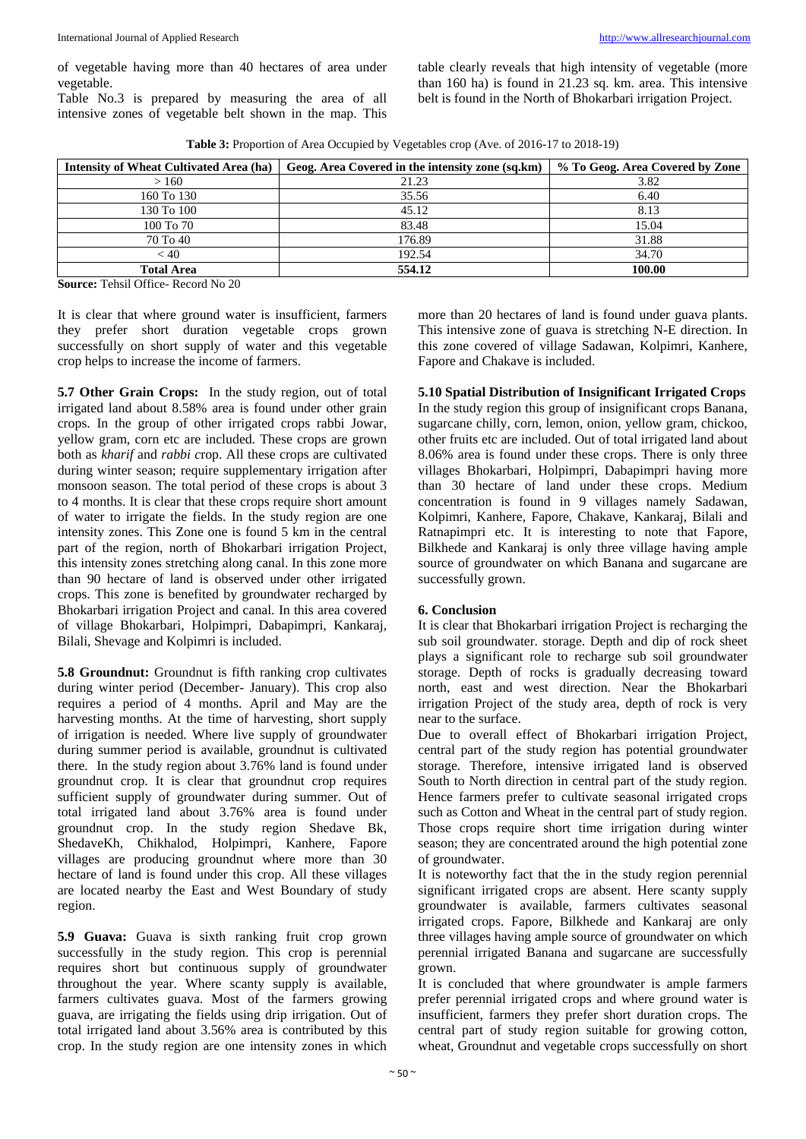of vegetable having more than 40 hectares of area under vegetable.

Table No.3 is prepared by measuring the area of all intensive zones of vegetable belt shown in the map. This

table clearly reveals that high intensity of vegetable (more than 160 ha) is found in 21.23 sq. km. area. This intensive belt is found in the North of Bhokarbari irrigation Project.

**Table 3:** Proportion of Area Occupied by Vegetables crop (Ave. of 2016-17 to 2018-19)

| Intensity of Wheat Cultivated Area (ha) | Geog. Area Covered in the intensity zone (sq.km) | % To Geog. Area Covered by Zone |
|-----------------------------------------|--------------------------------------------------|---------------------------------|
| >160                                    | 21.23                                            | 3.82                            |
| 160 To 130                              | 35.56                                            | 6.40                            |
| 130 To 100                              | 45.12                                            | 8.13                            |
| 100 To 70                               | 83.48                                            | 15.04                           |
| 70 To 40                                | 176.89                                           | 31.88                           |
| < 40                                    | 192.54                                           | 34.70                           |
| <b>Total Area</b>                       | 554.12                                           | 100.00                          |

**Source:** Tehsil Office- Record No 20

It is clear that where ground water is insufficient, farmers they prefer short duration vegetable crops grown successfully on short supply of water and this vegetable crop helps to increase the income of farmers.

**5.7 Other Grain Crops:** In the study region, out of total irrigated land about 8.58% area is found under other grain crops. In the group of other irrigated crops rabbi Jowar, yellow gram, corn etc are included. These crops are grown both as *kharif* and *rabbi c*rop. All these crops are cultivated during winter season; require supplementary irrigation after monsoon season. The total period of these crops is about 3 to 4 months. It is clear that these crops require short amount of water to irrigate the fields. In the study region are one intensity zones. This Zone one is found 5 km in the central part of the region, north of Bhokarbari irrigation Project, this intensity zones stretching along canal. In this zone more than 90 hectare of land is observed under other irrigated crops. This zone is benefited by groundwater recharged by Bhokarbari irrigation Project and canal. In this area covered of village Bhokarbari, Holpimpri, Dabapimpri, Kankaraj, Bilali, Shevage and Kolpimri is included.

**5.8 Groundnut:** Groundnut is fifth ranking crop cultivates during winter period (December- January). This crop also requires a period of 4 months. April and May are the harvesting months. At the time of harvesting, short supply of irrigation is needed. Where live supply of groundwater during summer period is available, groundnut is cultivated there. In the study region about 3.76% land is found under groundnut crop. It is clear that groundnut crop requires sufficient supply of groundwater during summer. Out of total irrigated land about 3.76% area is found under groundnut crop. In the study region Shedave Bk, ShedaveKh, Chikhalod, Holpimpri, Kanhere, Fapore villages are producing groundnut where more than 30 hectare of land is found under this crop. All these villages are located nearby the East and West Boundary of study region.

**5.9 Guava:** Guava is sixth ranking fruit crop grown successfully in the study region. This crop is perennial requires short but continuous supply of groundwater throughout the year. Where scanty supply is available, farmers cultivates guava. Most of the farmers growing guava, are irrigating the fields using drip irrigation. Out of total irrigated land about 3.56% area is contributed by this crop. In the study region are one intensity zones in which

more than 20 hectares of land is found under guava plants. This intensive zone of guava is stretching N-E direction. In this zone covered of village Sadawan, Kolpimri, Kanhere, Fapore and Chakave is included.

# **5.10 Spatial Distribution of Insignificant Irrigated Crops**

In the study region this group of insignificant crops Banana, sugarcane chilly, corn, lemon, onion, yellow gram, chickoo, other fruits etc are included. Out of total irrigated land about 8.06% area is found under these crops. There is only three villages Bhokarbari, Holpimpri, Dabapimpri having more than 30 hectare of land under these crops. Medium concentration is found in 9 villages namely Sadawan, Kolpimri, Kanhere, Fapore, Chakave, Kankaraj, Bilali and Ratnapimpri etc. It is interesting to note that Fapore, Bilkhede and Kankaraj is only three village having ample source of groundwater on which Banana and sugarcane are successfully grown.

# **6. Conclusion**

It is clear that Bhokarbari irrigation Project is recharging the sub soil groundwater. storage. Depth and dip of rock sheet plays a significant role to recharge sub soil groundwater storage. Depth of rocks is gradually decreasing toward north, east and west direction. Near the Bhokarbari irrigation Project of the study area, depth of rock is very near to the surface.

Due to overall effect of Bhokarbari irrigation Project, central part of the study region has potential groundwater storage. Therefore, intensive irrigated land is observed South to North direction in central part of the study region. Hence farmers prefer to cultivate seasonal irrigated crops such as Cotton and Wheat in the central part of study region. Those crops require short time irrigation during winter season; they are concentrated around the high potential zone of groundwater.

It is noteworthy fact that the in the study region perennial significant irrigated crops are absent. Here scanty supply groundwater is available, farmers cultivates seasonal irrigated crops. Fapore, Bilkhede and Kankaraj are only three villages having ample source of groundwater on which perennial irrigated Banana and sugarcane are successfully grown.

It is concluded that where groundwater is ample farmers prefer perennial irrigated crops and where ground water is insufficient, farmers they prefer short duration crops. The central part of study region suitable for growing cotton, wheat, Groundnut and vegetable crops successfully on short